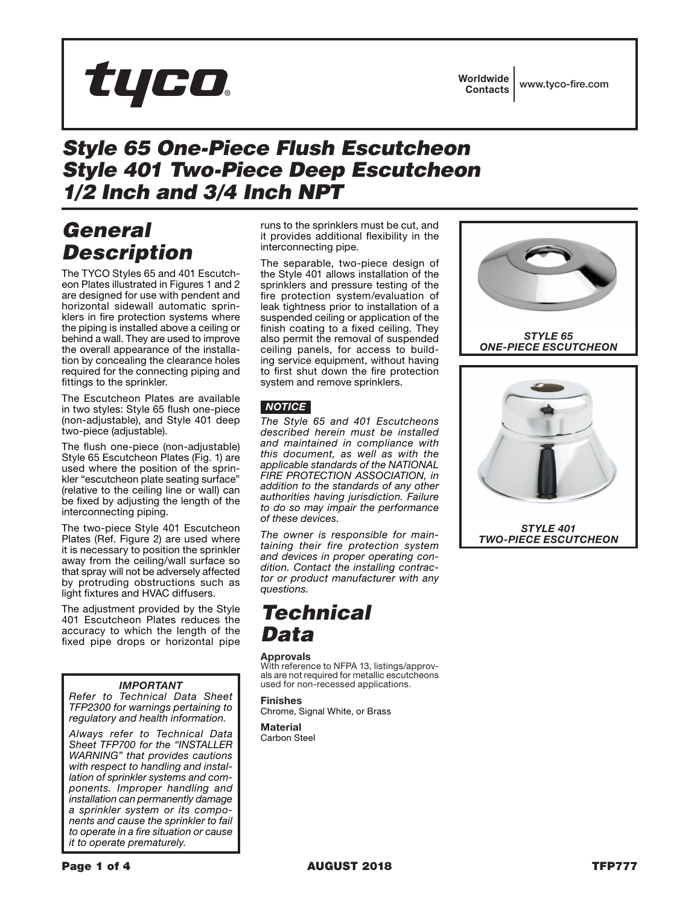

## *Style 65 One-Piece Flush Escutcheon Style 401 Two-Piece Deep Escutcheon 1/2 Inch and 3/4 Inch NPT*

# *General Description*

The TYCO Styles 65 and 401 Escutcheon Plates illustrated in Figures 1 and 2 are designed for use with pendent and horizontal sidewall automatic sprinklers in fire protection systems where the piping is installed above a ceiling or behind a wall. They are used to improve the overall appearance of the installation by concealing the clearance holes required for the connecting piping and fittings to the sprinkler.

The Escutcheon Plates are available in two styles: Style 65 flush one-piece (non-adjustable), and Style 401 deep two-piece (adjustable).

The flush one-piece (non-adjustable) Style 65 Escutcheon Plates (Fig. 1) are used where the position of the sprinkler "escutcheon plate seating surface" (relative to the ceiling line or wall) can be fixed by adjusting the length of the interconnecting piping.

The two-piece Style 401 Escutcheon Plates (Ref. Figure 2) are used where it is necessary to position the sprinkler away from the ceiling/wall surface so that spray will not be adversely affected by protruding obstructions such as light fixtures and HVAC diffusers.

The adjustment provided by the Style 401 Escutcheon Plates reduces the accuracy to which the length of the fixed pipe drops or horizontal pipe

### *IMPORTANT*

*Refer to Technical Data Sheet TFP2300 for warnings pertaining to regulatory and health information.*

*Always refer to Technical Data Sheet TFP700 for the "INSTALLER WARNING" that provides cautions with respect to handling and installation of sprinkler systems and components. Improper handling and installation can permanently damage a sprinkler system or its components and cause the sprinkler to fail to operate in a fire situation or cause it to operate prematurely.*

runs to the sprinklers must be cut, and it provides additional flexibility in the interconnecting pipe.

The separable, two-piece design of the Style 401 allows installation of the sprinklers and pressure testing of the fire protection system/evaluation of leak tightness prior to installation of a suspended ceiling or application of the finish coating to a fixed ceiling. They also permit the removal of suspended ceiling panels, for access to building service equipment, without having to first shut down the fire protection system and remove sprinklers.

## *NOTICE*

*The Style 65 and 401 Escutcheons described herein must be installed and maintained in compliance with this document, as well as with the applicable standards of the NATIONAL FIRE PROTECTION ASSOCIATION, in addition to the standards of any other authorities having jurisdiction. Failure to do so may impair the performance of these devices.*

*The owner is responsible for maintaining their fire protection system and devices in proper operating condition. Contact the installing contractor or product manufacturer with any questions.*

## *Technical Data*

### Approvals

With reference to NFPA 13, listings/approvals are not required for metallic escutcheons used for non-recessed applications.

Finishes Chrome, Signal White, or Brass

**Material** Carbon Steel



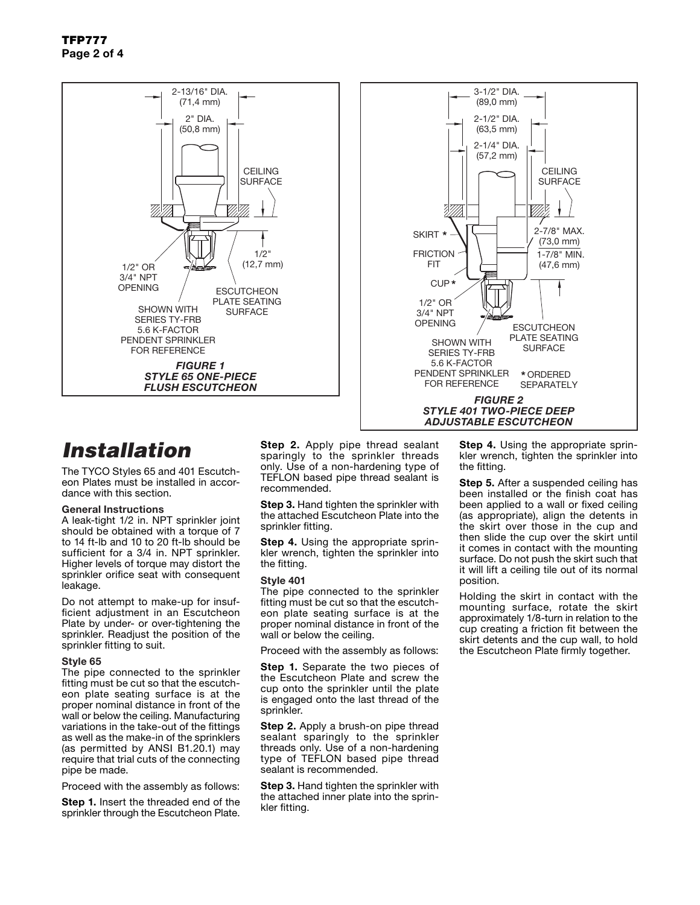

# *Installation*

The TYCO Styles 65 and 401 Escutcheon Plates must be installed in accordance with this section.

#### General Instructions

A leak-tight 1/2 in. NPT sprinkler joint should be obtained with a torque of 7 to 14 ft-lb and 10 to 20 ft-lb should be sufficient for a 3/4 in. NPT sprinkler. Higher levels of torque may distort the sprinkler orifice seat with consequent leakage.

Do not attempt to make-up for insufficient adjustment in an Escutcheon Plate by under- or over-tightening the sprinkler. Readjust the position of the sprinkler fitting to suit.

#### Style 65

The pipe connected to the sprinkler fitting must be cut so that the escutcheon plate seating surface is at the proper nominal distance in front of the wall or below the ceiling. Manufacturing variations in the take-out of the fittings as well as the make-in of the sprinklers (as permitted by ANSI B1.20.1) may require that trial cuts of the connecting pipe be made.

Proceed with the assembly as follows:

Step 1. Insert the threaded end of the sprinkler through the Escutcheon Plate. Step 2. Apply pipe thread sealant sparingly to the sprinkler threads only. Use of a non-hardening type of TEFLON based pipe thread sealant is recommended.

Step 3. Hand tighten the sprinkler with the attached Escutcheon Plate into the sprinkler fitting.

**Step 4.** Using the appropriate sprinkler wrench, tighten the sprinkler into the fitting.

#### Style 401

The pipe connected to the sprinkler fitting must be cut so that the escutcheon plate seating surface is at the proper nominal distance in front of the wall or below the ceiling.

Proceed with the assembly as follows:

Step 1. Separate the two pieces of the Escutcheon Plate and screw the cup onto the sprinkler until the plate is engaged onto the last thread of the sprinkler.

**Step 2.** Apply a brush-on pipe thread sealant sparingly to the sprinkler threads only. Use of a non-hardening type of TEFLON based pipe thread sealant is recommended.

**Step 3. Hand tighten the sprinkler with** the attached inner plate into the sprinkler fitting.

**Step 4.** Using the appropriate sprinkler wrench, tighten the sprinkler into the fitting.

Step 5. After a suspended ceiling has been installed or the finish coat has been applied to a wall or fixed ceiling (as appropriate), align the detents in the skirt over those in the cup and then slide the cup over the skirt until it comes in contact with the mounting surface. Do not push the skirt such that it will lift a ceiling tile out of its normal position.

Holding the skirt in contact with the mounting surface, rotate the skirt approximately 1/8-turn in relation to the cup creating a friction fit between the skirt detents and the cup wall, to hold the Escutcheon Plate firmly together.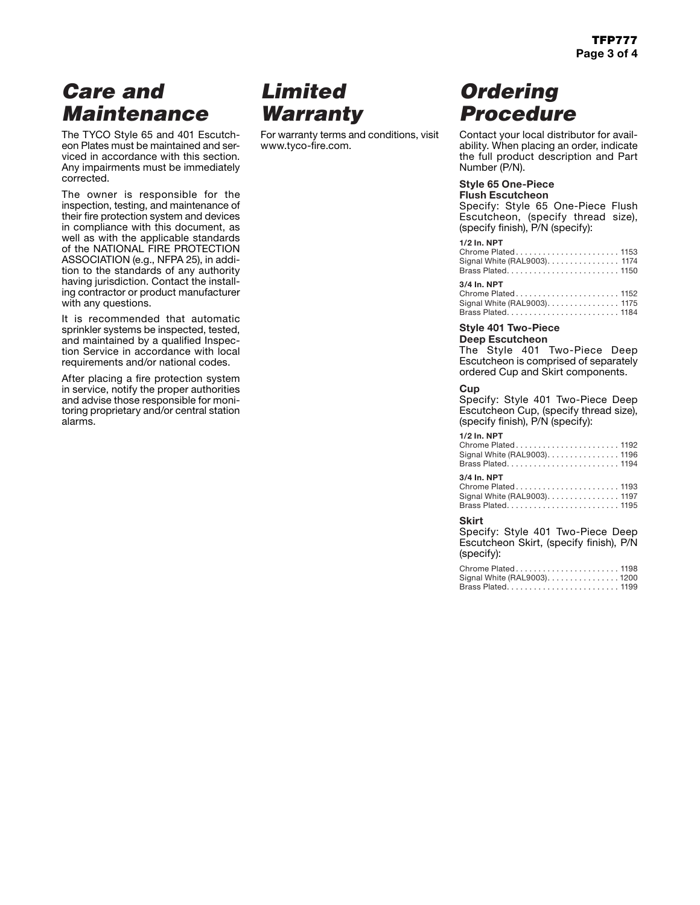# *Care and Maintenance*

The TYCO Style 65 and 401 Escutcheon Plates must be maintained and serviced in accordance with this section. Any impairments must be immediately corrected.

The owner is responsible for the inspection, testing, and maintenance of their fire protection system and devices in compliance with this document, as well as with the applicable standards of the NATIONAL FIRE PROTECTION ASSOCIATION (e.g., NFPA 25), in addition to the standards of any authority having jurisdiction. Contact the installing contractor or product manufacturer with any questions.

It is recommended that automatic sprinkler systems be inspected, tested, and maintained by a qualified Inspection Service in accordance with local requirements and/or national codes.

After placing a fire protection system in service, notify the proper authorities and advise those responsible for monitoring proprietary and/or central station alarms.

# *Limited Warranty*

For warranty terms and conditions, visit www.tyco-fire.com.

# *Ordering Procedure*

Contact your local distributor for availability. When placing an order, indicate the full product description and Part Number (P/N).

### Style 65 One-Piece

Flush Escutcheon Specify: Style 65 One-Piece Flush

Escutcheon, (specify thread size), (specify finish), P/N (specify):

## **1/2 In. NPT**

| Signal White (RAL9003). 1174 |
|------------------------------|
| 3/4 In. NPT                  |

#### Chrome Plated . . . . . . . . . . . . . . . . . . . . . . . 1152 Signal White (RAL9003). . . . . . . . . . . . . . . . 1175 Brass Plated. . . . . . . . . . . . . . . . . . . . . . . . . 1184

### Style 401 Two-Piece

## Deep Escutcheon

The Style 401 Two-Piece Deep Escutcheon is comprised of separately ordered Cup and Skirt components.

#### **Cup**

Specify: Style 401 Two-Piece Deep Escutcheon Cup, (specify thread size), (specify finish), P/N (specify):

#### **1/2 In. NPT**

| Chrome Plated1192            |  |
|------------------------------|--|
| Signal White (RAL9003). 1196 |  |
| Brass Plated 1194            |  |

### **3/4 In. NPT**

| Chrome Plated1193            |  |
|------------------------------|--|
| Signal White (RAL9003). 1197 |  |
| Brass Plated 1195            |  |

#### **Skirt**

Specify: Style 401 Two-Piece Deep Escutcheon Skirt, (specify finish), P/N (specify):

| Chrome Plated 1198           |  |
|------------------------------|--|
| Signal White (RAL9003). 1200 |  |
| Brass Plated1199             |  |